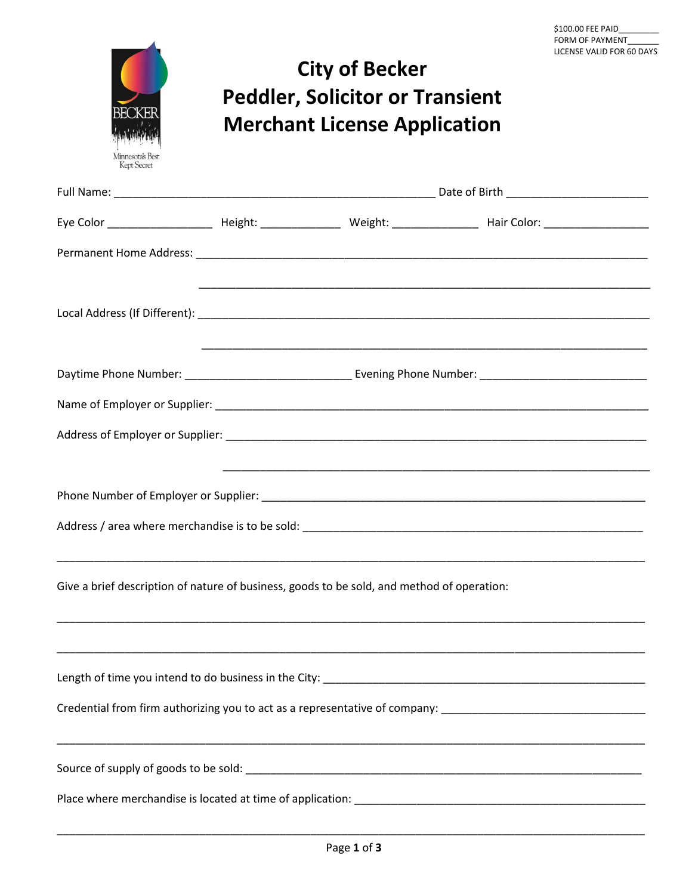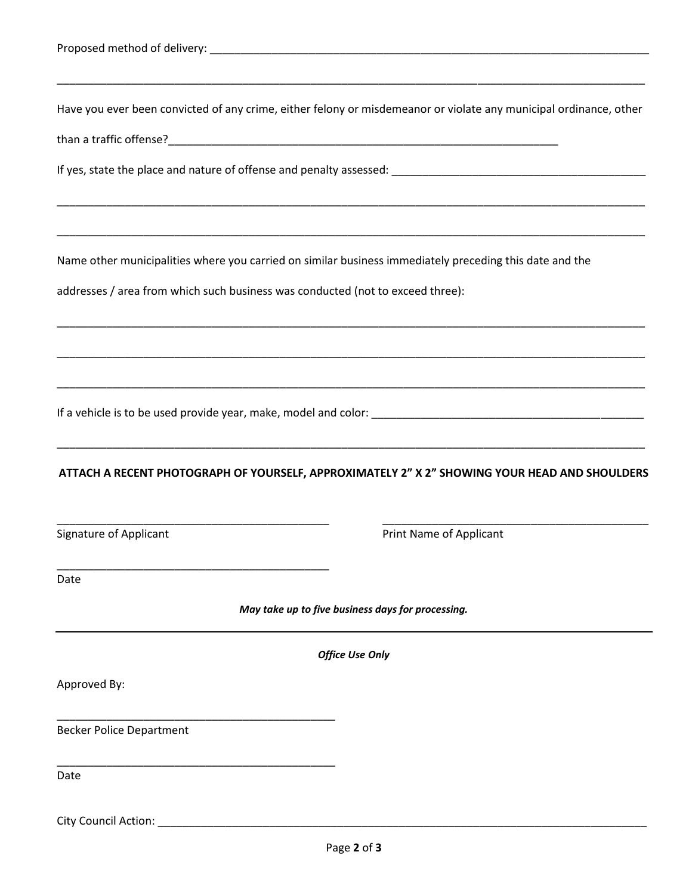|                                                                                                         | ,我们也不能会有什么。""我们的,我们也不能会有什么?""我们的,我们也不能会有什么?""我们的,我们也不能会有什么?""我们的,我们也不能会有什么?""我们的                                                                                                                                      |
|---------------------------------------------------------------------------------------------------------|-----------------------------------------------------------------------------------------------------------------------------------------------------------------------------------------------------------------------|
|                                                                                                         | Have you ever been convicted of any crime, either felony or misdemeanor or violate any municipal ordinance, other                                                                                                     |
|                                                                                                         |                                                                                                                                                                                                                       |
|                                                                                                         |                                                                                                                                                                                                                       |
|                                                                                                         |                                                                                                                                                                                                                       |
| Name other municipalities where you carried on similar business immediately preceding this date and the |                                                                                                                                                                                                                       |
| addresses / area from which such business was conducted (not to exceed three):                          |                                                                                                                                                                                                                       |
|                                                                                                         |                                                                                                                                                                                                                       |
|                                                                                                         |                                                                                                                                                                                                                       |
|                                                                                                         |                                                                                                                                                                                                                       |
|                                                                                                         |                                                                                                                                                                                                                       |
|                                                                                                         | <u> 1989 - Andrea Santa Andrea Andrea Andrea Andrea Andrea Andrea Andrea Andrea Andrea Andrea Andrea Andrea Andr</u><br>ATTACH A RECENT PHOTOGRAPH OF YOURSELF, APPROXIMATELY 2" X 2" SHOWING YOUR HEAD AND SHOULDERS |
| <b>Signature of Applicant</b>                                                                           | Print Name of Applicant                                                                                                                                                                                               |
| Date                                                                                                    |                                                                                                                                                                                                                       |
|                                                                                                         | May take up to five business days for processing.                                                                                                                                                                     |
|                                                                                                         | <b>Office Use Only</b>                                                                                                                                                                                                |
| Approved By:                                                                                            |                                                                                                                                                                                                                       |
|                                                                                                         |                                                                                                                                                                                                                       |
| <b>Becker Police Department</b>                                                                         |                                                                                                                                                                                                                       |
| Date                                                                                                    |                                                                                                                                                                                                                       |
|                                                                                                         |                                                                                                                                                                                                                       |

City Council Action: \_\_\_\_\_\_\_\_\_\_\_\_\_\_\_\_\_\_\_\_\_\_\_\_\_\_\_\_\_\_\_\_\_\_\_\_\_\_\_\_\_\_\_\_\_\_\_\_\_\_\_\_\_\_\_\_\_\_\_\_\_\_\_\_\_\_\_\_\_\_\_\_\_\_\_\_\_\_\_